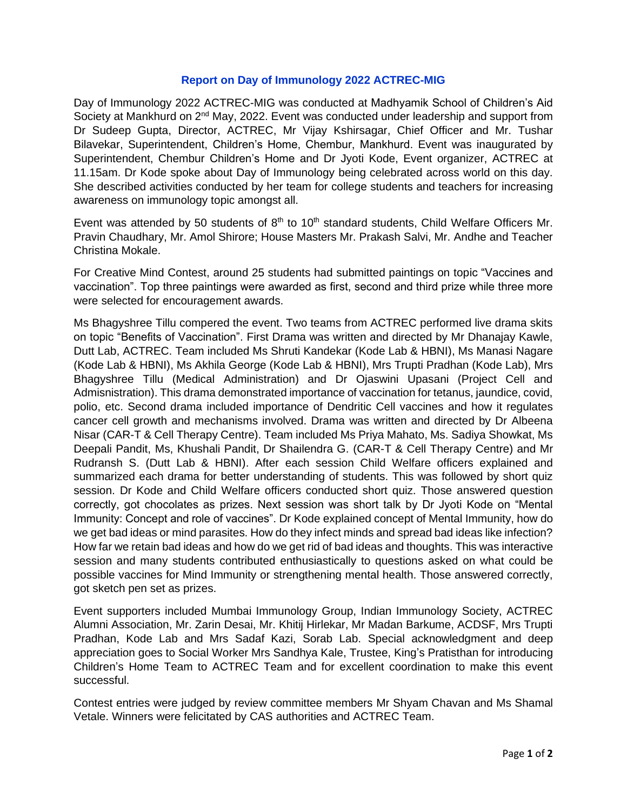## **Report on Day of Immunology 2022 ACTREC-MIG**

Day of Immunology 2022 ACTREC-MIG was conducted at Madhyamik School of Children's Aid Society at Mankhurd on 2<sup>nd</sup> May, 2022. Event was conducted under leadership and support from Dr Sudeep Gupta, Director, ACTREC, Mr Vijay Kshirsagar, Chief Officer and Mr. Tushar Bilavekar, Superintendent, Children's Home, Chembur, Mankhurd. Event was inaugurated by Superintendent, Chembur Children's Home and Dr Jyoti Kode, Event organizer, ACTREC at 11.15am. Dr Kode spoke about Day of Immunology being celebrated across world on this day. She described activities conducted by her team for college students and teachers for increasing awareness on immunology topic amongst all.

Event was attended by 50 students of  $8<sup>th</sup>$  to 10<sup>th</sup> standard students, Child Welfare Officers Mr. Pravin Chaudhary, Mr. Amol Shirore; House Masters Mr. Prakash Salvi, Mr. Andhe and Teacher Christina Mokale.

For Creative Mind Contest, around 25 students had submitted paintings on topic "Vaccines and vaccination". Top three paintings were awarded as first, second and third prize while three more were selected for encouragement awards.

Ms Bhagyshree Tillu compered the event. Two teams from ACTREC performed live drama skits on topic "Benefits of Vaccination". First Drama was written and directed by Mr Dhanajay Kawle, Dutt Lab, ACTREC. Team included Ms Shruti Kandekar (Kode Lab & HBNI), Ms Manasi Nagare (Kode Lab & HBNI), Ms Akhila George (Kode Lab & HBNI), Mrs Trupti Pradhan (Kode Lab), Mrs Bhagyshree Tillu (Medical Administration) and Dr Ojaswini Upasani (Project Cell and Admisnistration). This drama demonstrated importance of vaccination for tetanus, jaundice, covid, polio, etc. Second drama included importance of Dendritic Cell vaccines and how it regulates cancer cell growth and mechanisms involved. Drama was written and directed by Dr Albeena Nisar (CAR-T & Cell Therapy Centre). Team included Ms Priya Mahato, Ms. Sadiya Showkat, Ms Deepali Pandit, Ms, Khushali Pandit, Dr Shailendra G. (CAR-T & Cell Therapy Centre) and Mr Rudransh S. (Dutt Lab & HBNI). After each session Child Welfare officers explained and summarized each drama for better understanding of students. This was followed by short quiz session. Dr Kode and Child Welfare officers conducted short quiz. Those answered question correctly, got chocolates as prizes. Next session was short talk by Dr Jyoti Kode on "Mental Immunity: Concept and role of vaccines". Dr Kode explained concept of Mental Immunity, how do we get bad ideas or mind parasites. How do they infect minds and spread bad ideas like infection? How far we retain bad ideas and how do we get rid of bad ideas and thoughts. This was interactive session and many students contributed enthusiastically to questions asked on what could be possible vaccines for Mind Immunity or strengthening mental health. Those answered correctly, got sketch pen set as prizes.

Event supporters included Mumbai Immunology Group, Indian Immunology Society, ACTREC Alumni Association, Mr. Zarin Desai, Mr. Khitij Hirlekar, Mr Madan Barkume, ACDSF, Mrs Trupti Pradhan, Kode Lab and Mrs Sadaf Kazi, Sorab Lab. Special acknowledgment and deep appreciation goes to Social Worker Mrs Sandhya Kale, Trustee, King's Pratisthan for introducing Children's Home Team to ACTREC Team and for excellent coordination to make this event successful.

Contest entries were judged by review committee members Mr Shyam Chavan and Ms Shamal Vetale. Winners were felicitated by CAS authorities and ACTREC Team.